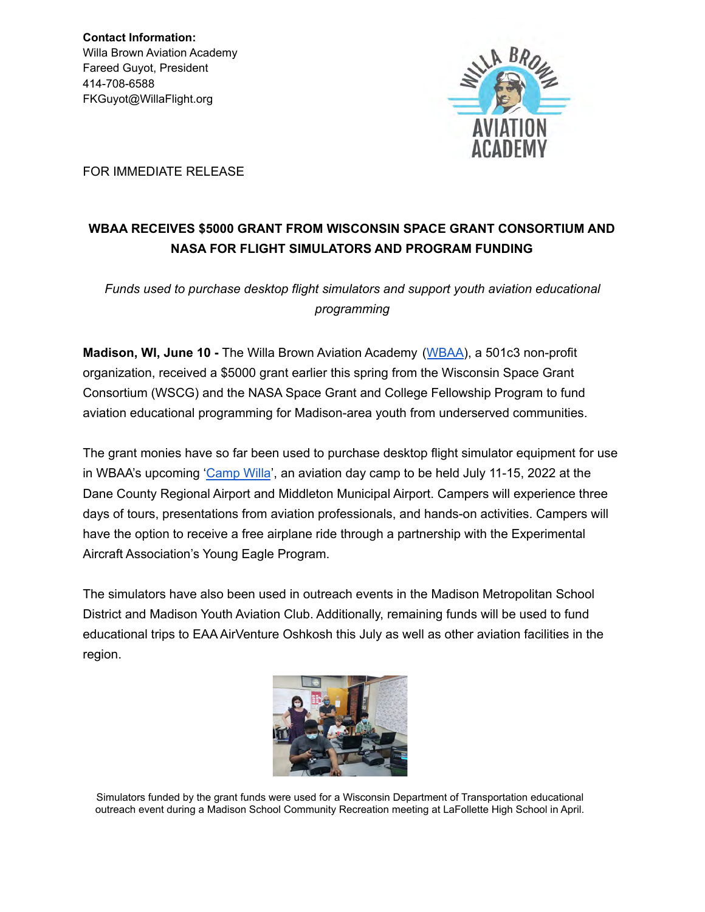**Contact Information:** Willa Brown Aviation Academy Fareed Guyot, President 414-708-6588 FKGuyot@WillaFlight.org



FOR IMMEDIATE RELEASE

## **WBAA RECEIVES \$5000 GRANT FROM WISCONSIN SPACE GRANT CONSORTIUM AND NASA FOR FLIGHT SIMULATORS AND PROGRAM FUNDING**

*Funds used to purchase desktop flight simulators and support youth aviation educational programming*

**Madison, WI, June 10 -** The Willa Brown Aviation Academy ([WBAA\)](http://willaflight.org/wp/), a 501c3 non-profit organization, received a \$5000 grant earlier this spring from the Wisconsin Space Grant Consortium (WSCG) and the NASA Space Grant and College Fellowship Program to fund aviation educational programming for Madison-area youth from underserved communities.

The grant monies have so far been used to purchase desktop flight simulator equipment for use in WBAA's upcoming ['Camp Willa](http://willaflight.org/wp/)', an aviation day camp to be held July 11-15, 2022 at the Dane County Regional Airport and Middleton Municipal Airport. Campers will experience three days of tours, presentations from aviation professionals, and hands-on activities. Campers will have the option to receive a free airplane ride through a partnership with the Experimental Aircraft Association's Young Eagle Program.

The simulators have also been used in outreach events in the Madison Metropolitan School District and Madison Youth Aviation Club. Additionally, remaining funds will be used to fund educational trips to EAA AirVenture Oshkosh this July as well as other aviation facilities in the region.



Simulators funded by the grant funds were used for a Wisconsin Department of Transportation educational outreach event during a Madison School Community Recreation meeting at LaFollette High School in April.